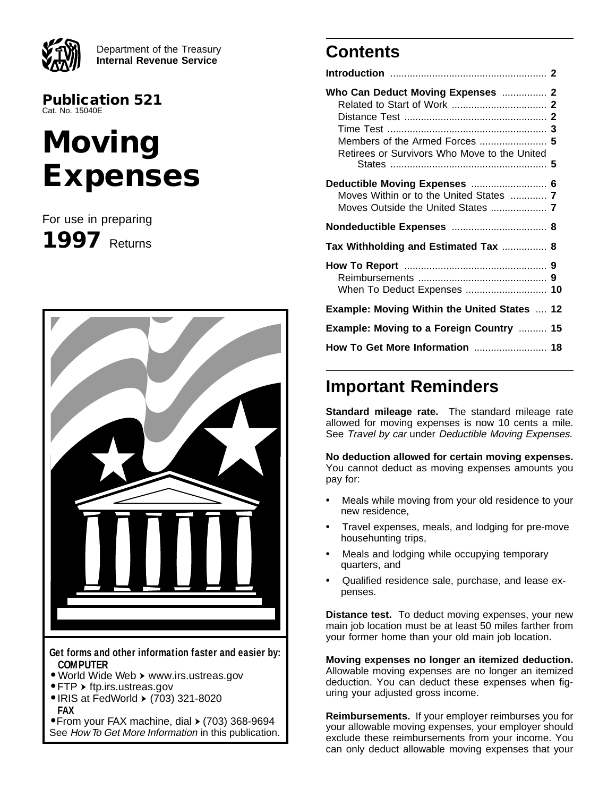

Department of the Treasury **Internal Revenue Service**

**Publication 521** Cat. No. 15040E

# **Moving Expenses**

For use in preparing **1997** Returns



**Get forms and other information faster and easier by: COMPUTER**

- World Wide Web ➤ www.irs.ustreas.gov
- FTP ➤ ftp.irs.ustreas.gov
- IRIS at FedWorld ➤ (703) 321-8020  **FAX**

**•** From your FAX machine, dial ➤ (703) 368-9694 See How To Get More Information in this publication.

# **Contents**

| Who Can Deduct Moving Expenses  ?<br>Retirees or Survivors Who Move to the United<br>Moves Within or to the United States<br>Tax Withholding and Estimated Tax<br>8<br>Example: Moving Within the United States $\overline{y}2$<br>Example: Moving to a Foreign Country  \$5 |  |
|------------------------------------------------------------------------------------------------------------------------------------------------------------------------------------------------------------------------------------------------------------------------------|--|
|                                                                                                                                                                                                                                                                              |  |
|                                                                                                                                                                                                                                                                              |  |
|                                                                                                                                                                                                                                                                              |  |
|                                                                                                                                                                                                                                                                              |  |
|                                                                                                                                                                                                                                                                              |  |
|                                                                                                                                                                                                                                                                              |  |
|                                                                                                                                                                                                                                                                              |  |
|                                                                                                                                                                                                                                                                              |  |

# **Important Reminders**

**Standard mileage rate.** The standard mileage rate allowed for moving expenses is now 10 cents a mile. See Travel by car under Deductible Moving Expenses.

**No deduction allowed for certain moving expenses.** You cannot deduct as moving expenses amounts you pay for:

- $\ddot{\mathbf{y}}$  Meals while moving from your old residence to your new residence,
- $\ddot{\mathbf{y}}$  Travel expenses, meals, and lodging for pre-move househunting trips,
- Meals and lodging while occupying temporary quarters, and
- $\ddot{\mathbf{y}}$  Qualified residence sale, purchase, and lease expenses.

**Distance test.** To deduct moving expenses, your new main job location must be at least 50 miles farther from your former home than your old main job location.

**Moving expenses no longer an itemized deduction.** Allowable moving expenses are no longer an itemized deduction. You can deduct these expenses when figuring your adjusted gross income.

**Reimbursements.** If your employer reimburses you for your allowable moving expenses, your employer should exclude these reimbursements from your income. You can only deduct allowable moving expenses that your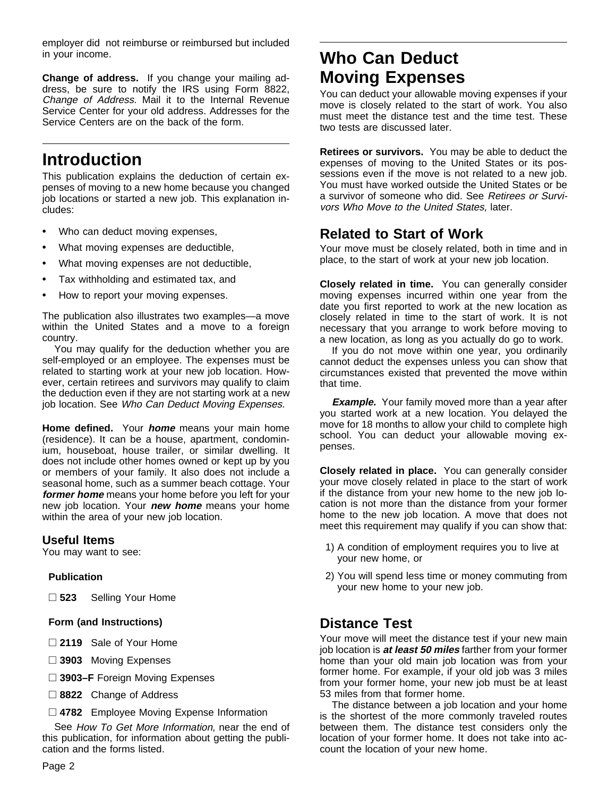employer did not reimburse or reimbursed but included in your income.

**Change of address.** If you change your mailing address, be sure to notify the IRS using Form 8822, Change of Address. Mail it to the Internal Revenue Service Center for your old address. Addresses for the Service Centers are on the back of the form.

# **Introduction**

This publication explains the deduction of certain expenses of moving to a new home because you changed job locations or started a new job. This explanation includes:

- $\ddot{\mathbf{y}}$  Who can deduct moving expenses,
- $\ddot{\mathbf{y}}$  What moving expenses are deductible,
- $\ddot{\mathbf{y}}$  What moving expenses are not deductible,
- $\ddot{\mathbf{y}}$  Tax withholding and estimated tax, and
- $\ddot{\mathbf{y}}$  How to report your moving expenses.

The publication also illustrates two examples—a move within the United States and a move to a foreign country.

You may qualify for the deduction whether you are self-employed or an employee. The expenses must be related to starting work at your new job location. However, certain retirees and survivors may qualify to claim the deduction even if they are not starting work at a new job location. See Who Can Deduct Moving Expenses.

**Home defined.** Your **home** means your main home (residence). It can be a house, apartment, condominium, houseboat, house trailer, or similar dwelling. It does not include other homes owned or kept up by you or members of your family. It also does not include a seasonal home, such as a summer beach cottage. Your **former home** means your home before you left for your new job location. Your **new home** means your home within the area of your new job location.

#### **Useful Items**

You may want to see:

#### **Publication**

□ 523 Selling Your Home

#### **Form (and Instructions)**

- □ 2119 Sale of Your Home
- □ 3903 Moving Expenses
- □ 3903-F Foreign Moving Expenses
- □ 8822 Change of Address
- □ 4782 Employee Moving Expense Information

See How To Get More Information, near the end of this publication, for information about getting the publication and the forms listed.

# **Who Can Deduct Moving Expenses**

You can deduct your allowable moving expenses if your move is closely related to the start of work. You also must meet the distance test and the time test. These two tests are discussed later.

**Retirees or survivors.** You may be able to deduct the expenses of moving to the United States or its possessions even if the move is not related to a new job. You must have worked outside the United States or be a survivor of someone who did. See Retirees or Survivors Who Move to the United States, later.

### **Related to Start of Work**

Your move must be closely related, both in time and in place, to the start of work at your new job location.

**Closely related in time.** You can generally consider moving expenses incurred within one year from the date you first reported to work at the new location as closely related in time to the start of work. It is not necessary that you arrange to work before moving to a new location, as long as you actually do go to work.

If you do not move within one year, you ordinarily cannot deduct the expenses unless you can show that circumstances existed that prevented the move within that time.

**Example.** Your family moved more than a year after you started work at a new location. You delayed the move for 18 months to allow your child to complete high school. You can deduct your allowable moving expenses.

**Closely related in place.** You can generally consider your move closely related in place to the start of work if the distance from your new home to the new job location is not more than the distance from your former home to the new job location. A move that does not meet this requirement may qualify if you can show that:

- 1) A condition of employment requires you to live at your new home, or
- 2) You will spend less time or money commuting from your new home to your new job.

### **Distance Test**

Your move will meet the distance test if your new main job location is **at least 50 miles** farther from your former home than your old main job location was from your former home. For example, if your old job was 3 miles from your former home, your new job must be at least 53 miles from that former home.

The distance between a job location and your home is the shortest of the more commonly traveled routes between them. The distance test considers only the location of your former home. It does not take into account the location of your new home.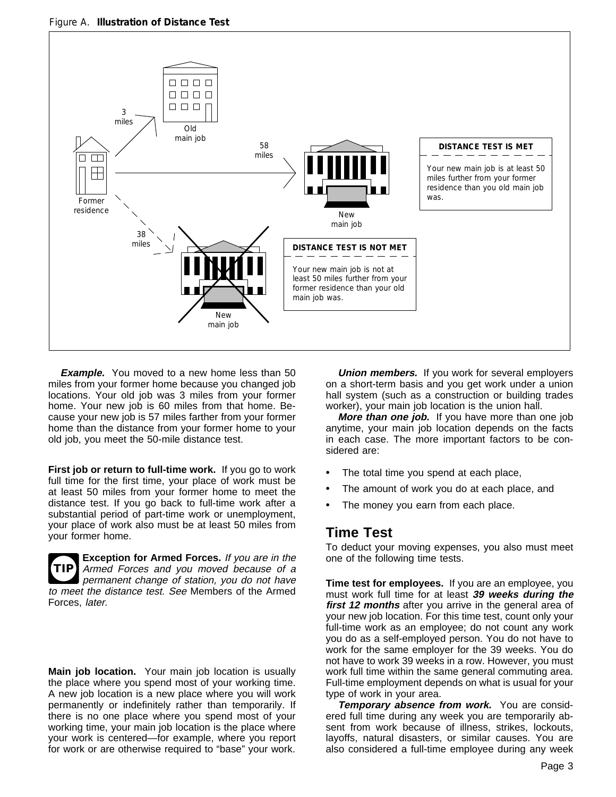

**Example.** You moved to a new home less than 50 miles from your former home because you changed job locations. Your old job was 3 miles from your former home. Your new job is 60 miles from that home. Because your new job is 57 miles farther from your former home than the distance from your former home to your old job, you meet the 50-mile distance test.

**First job or return to full-time work.** If you go to work full time for the first time, your place of work must be at least 50 miles from your former home to meet the distance test. If you go back to full-time work after a substantial period of part-time work or unemployment, your place of work also must be at least 50 miles from your former home.

**TIP Exception for Armed Forces.** If you are in the Armed Forces and you moved because of a permanent change of station, you do not have to meet the distance test. See Members of the Armed Forces, later.

**Main job location.** Your main job location is usually the place where you spend most of your working time. A new job location is a new place where you will work permanently or indefinitely rather than temporarily. If there is no one place where you spend most of your working time, your main job location is the place where your work is centered—for example, where you report for work or are otherwise required to "base" your work.

**Union members.** If you work for several employers on a short-term basis and you get work under a union hall system (such as a construction or building trades worker), your main job location is the union hall.

**More than one job.** If you have more than one job anytime, your main job location depends on the facts in each case. The more important factors to be considered are:

- The total time you spend at each place,
- **i** The amount of work you do at each place, and
- The money you earn from each place.

### **Time Test**

To deduct your moving expenses, you also must meet one of the following time tests.

**Time test for employees.** If you are an employee, you must work full time for at least **39 weeks during the first 12 months** after you arrive in the general area of your new job location. For this time test, count only your full-time work as an employee; do not count any work you do as a self-employed person. You do not have to work for the same employer for the 39 weeks. You do not have to work 39 weeks in a row. However, you must work full time within the same general commuting area. Full-time employment depends on what is usual for your type of work in your area.

**Temporary absence from work.** You are considered full time during any week you are temporarily absent from work because of illness, strikes, lockouts, layoffs, natural disasters, or similar causes. You are also considered a full-time employee during any week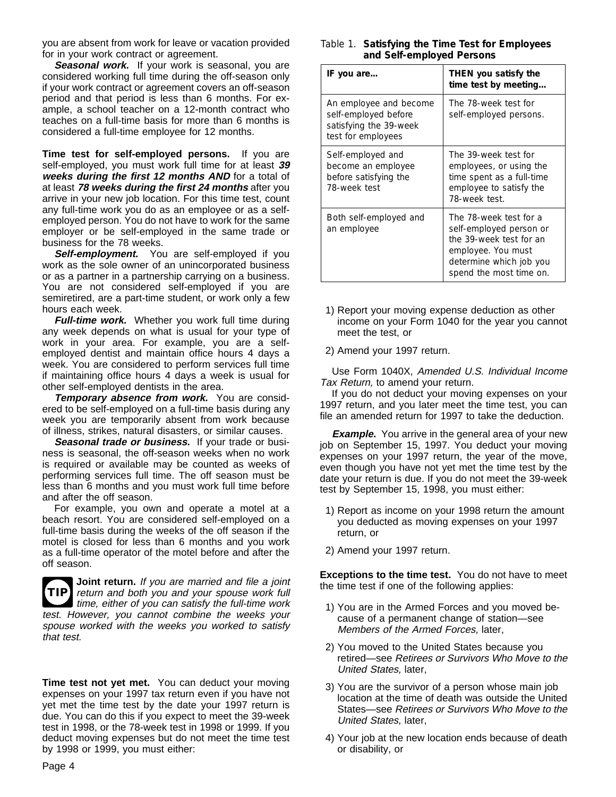you are absent from work for leave or vacation provided for in your work contract or agreement.

Seasonal work. If your work is seasonal, you are considered working full time during the off-season only if your work contract or agreement covers an off-season period and that period is less than 6 months. For example, a school teacher on a 12-month contract who teaches on a full-time basis for more than 6 months is considered a full-time employee for 12 months.

**Time test for self-employed persons.** If you are self-employed, you must work full time for at least **39 weeks during the first 12 months AND** for a total of at least **78 weeks during the first 24 months** after you arrive in your new job location. For this time test, count any full-time work you do as an employee or as a selfemployed person. You do not have to work for the same employer or be self-employed in the same trade or business for the 78 weeks.

**Self-employment.** You are self-employed if you work as the sole owner of an unincorporated business or as a partner in a partnership carrying on a business. You are not considered self-employed if you are semiretired, are a part-time student, or work only a few hours each week.

**Full-time work.** Whether you work full time during any week depends on what is usual for your type of work in your area. For example, you are a selfemployed dentist and maintain office hours 4 days a week. You are considered to perform services full time if maintaining office hours 4 days a week is usual for other self-employed dentists in the area.

**Temporary absence from work.** You are considered to be self-employed on a full-time basis during any week you are temporarily absent from work because of illness, strikes, natural disasters, or similar causes.

**Seasonal trade or business.** If your trade or business is seasonal, the off-season weeks when no work is required or available may be counted as weeks of performing services full time. The off season must be less than 6 months and you must work full time before and after the off season.

For example, you own and operate a motel at a beach resort. You are considered self-employed on a full-time basis during the weeks of the off season if the motel is closed for less than 6 months and you work as a full-time operator of the motel before and after the off season.

**TIP** return and both you and your spouse work full **Joint return.** If you are married and file a joint time, either of you can satisfy the full-time work test. However, you cannot combine the weeks your spouse worked with the weeks you worked to satisfy that test.

**Time test not yet met.** You can deduct your moving expenses on your 1997 tax return even if you have not yet met the time test by the date your 1997 return is due. You can do this if you expect to meet the 39-week test in 1998, or the 78-week test in 1998 or 1999. If you deduct moving expenses but do not meet the time test by 1998 or 1999, you must either:

| Table 1. Satisfying the Time Test for Employees |
|-------------------------------------------------|
| and Self-employed Persons                       |

| IF you are                                                                                     | THEN you satisfy the<br>time test by meeting                                                                                                             |  |  |  |  |
|------------------------------------------------------------------------------------------------|----------------------------------------------------------------------------------------------------------------------------------------------------------|--|--|--|--|
| An employee and become<br>self-employed before<br>satisfying the 39-week<br>test for employees | The 78-week test for<br>self-employed persons.                                                                                                           |  |  |  |  |
| Self-employed and<br>become an employee<br>before satisfying the<br>78-week test               | The 39-week test for<br>employees, or using the<br>time spent as a full-time<br>employee to satisfy the<br>78-week test.                                 |  |  |  |  |
| Both self-employed and<br>an employee                                                          | The 78-week test for a<br>self-employed person or<br>the 39-week test for an<br>employee. You must<br>determine which job you<br>spend the most time on. |  |  |  |  |

- 1) Report your moving expense deduction as other income on your Form 1040 for the year you cannot meet the test, or
- 2) Amend your 1997 return.

Use Form 1040X, Amended U.S. Individual Income Tax Return, to amend your return.

If you do not deduct your moving expenses on your 1997 return, and you later meet the time test, you can file an amended return for 1997 to take the deduction.

**Example.** You arrive in the general area of your new job on September 15, 1997. You deduct your moving expenses on your 1997 return, the year of the move, even though you have not yet met the time test by the date your return is due. If you do not meet the 39-week test by September 15, 1998, you must either:

- 1) Report as income on your 1998 return the amount you deducted as moving expenses on your 1997 return, or
- 2) Amend your 1997 return.

**Exceptions to the time test.** You do not have to meet the time test if one of the following applies:

- 1) You are in the Armed Forces and you moved because of a permanent change of station—see Members of the Armed Forces, later,
- 2) You moved to the United States because you retired—see Retirees or Survivors Who Move to the United States, later,
- 3) You are the survivor of a person whose main job location at the time of death was outside the United States—see Retirees or Survivors Who Move to the United States, later,
- 4) Your job at the new location ends because of death or disability, or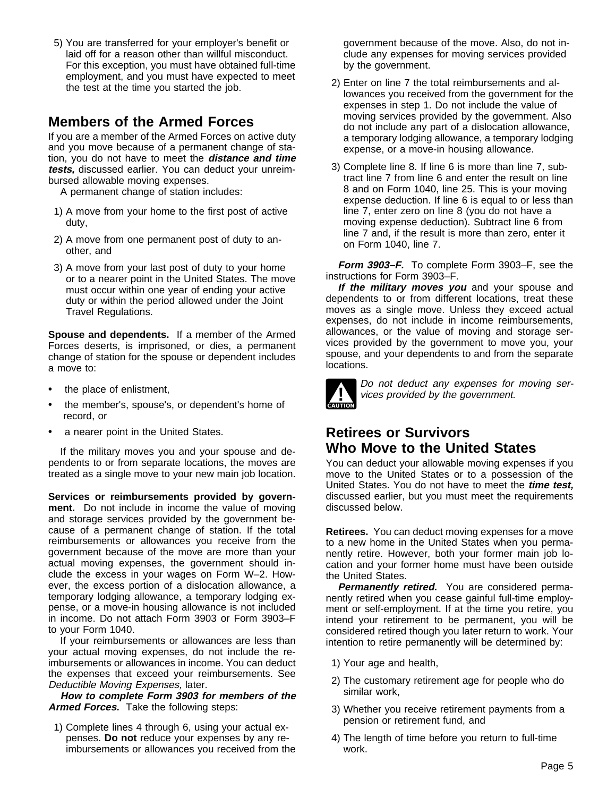5) You are transferred for your employer's benefit or laid off for a reason other than willful misconduct. For this exception, you must have obtained full-time employment, and you must have expected to meet the test at the time you started the job.

### **Members of the Armed Forces**

If you are a member of the Armed Forces on active duty and you move because of a permanent change of station, you do not have to meet the **distance and time tests,** discussed earlier. You can deduct your unreimbursed allowable moving expenses.

A permanent change of station includes:

- 1) A move from your home to the first post of active duty,
- 2) A move from one permanent post of duty to another, and
- 3) A move from your last post of duty to your home or to a nearer point in the United States. The move must occur within one year of ending your active duty or within the period allowed under the Joint Travel Regulations.

**Spouse and dependents.** If a member of the Armed Forces deserts, is imprisoned, or dies, a permanent change of station for the spouse or dependent includes a move to:

- the place of enlistment,
- the member's, spouse's, or dependent's home of record, or
- $\ddot{\mathbf{y}}$  a nearer point in the United States.

If the military moves you and your spouse and dependents to or from separate locations, the moves are treated as a single move to your new main job location.

**Services or reimbursements provided by government.** Do not include in income the value of moving and storage services provided by the government because of a permanent change of station. If the total reimbursements or allowances you receive from the government because of the move are more than your actual moving expenses, the government should include the excess in your wages on Form W–2. However, the excess portion of a dislocation allowance, a temporary lodging allowance, a temporary lodging expense, or a move-in housing allowance is not included in income. Do not attach Form 3903 or Form 3903–F to your Form 1040.

If your reimbursements or allowances are less than your actual moving expenses, do not include the reimbursements or allowances in income. You can deduct the expenses that exceed your reimbursements. See Deductible Moving Expenses, later.

**How to complete Form 3903 for members of the Armed Forces.** Take the following steps:

1) Complete lines 4 through 6, using your actual expenses. **Do not** reduce your expenses by any reimbursements or allowances you received from the government because of the move. Also, do not include any expenses for moving services provided by the government.

- 2) Enter on line 7 the total reimbursements and allowances you received from the government for the expenses in step 1. Do not include the value of moving services provided by the government. Also do not include any part of a dislocation allowance, a temporary lodging allowance, a temporary lodging expense, or a move-in housing allowance.
- 3) Complete line 8. If line 6 is more than line 7, subtract line 7 from line 6 and enter the result on line 8 and on Form 1040, line 25. This is your moving expense deduction. If line 6 is equal to or less than line 7, enter zero on line 8 (you do not have a moving expense deduction). Subtract line 6 from line 7 and, if the result is more than zero, enter it on Form 1040, line 7.

**Form 3903–F.** To complete Form 3903–F, see the instructions for Form 3903–F.

**If the military moves you** and your spouse and dependents to or from different locations, treat these moves as a single move. Unless they exceed actual expenses, do not include in income reimbursements, allowances, or the value of moving and storage services provided by the government to move you, your spouse, and your dependents to and from the separate locations.



**!** Do not deduct any expenses for moving services provided by the government.

### **Retirees or Survivors Who Move to the United States**

You can deduct your allowable moving expenses if you move to the United States or to a possession of the United States. You do not have to meet the **time test,** discussed earlier, but you must meet the requirements discussed below.

**Retirees.** You can deduct moving expenses for a move to a new home in the United States when you permanently retire. However, both your former main job location and your former home must have been outside the United States.

**Permanently retired.** You are considered permanently retired when you cease gainful full-time employment or self-employment. If at the time you retire, you intend your retirement to be permanent, you will be considered retired though you later return to work. Your intention to retire permanently will be determined by:

- 1) Your age and health,
- 2) The customary retirement age for people who do similar work,
- 3) Whether you receive retirement payments from a pension or retirement fund, and
- 4) The length of time before you return to full-time work.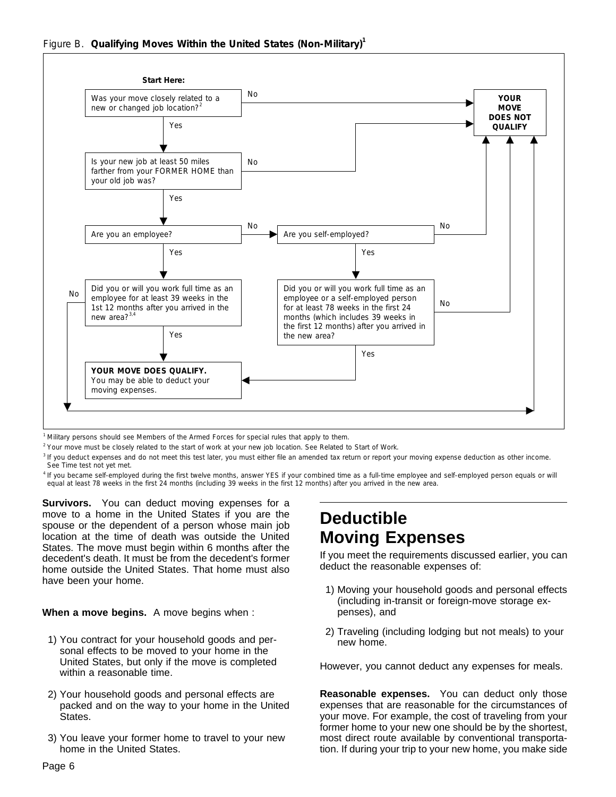

<sup>1</sup> Military persons should see *Members of the Armed Forces* for special rules that apply to them.

<sup>2</sup> Your move must be closely related to the start of work at your new job location. See *Related to Start of Work.*

<sup>3</sup> If you deduct expenses and do not meet this test later, you must either file an amended tax return or report your moving expense deduction as other income. See *Time test not yet met.*

<sup>4</sup> If you became self-employed during the first twelve months, answer YES if your combined time as a full-time employee and self-employed person equals or will equal at least 78 weeks in the first 24 months (including 39 weeks in the first 12 months) after you arrived in the new area.

**Survivors.** You can deduct moving expenses for a move to a home in the United States if you are the spouse or the dependent of a person whose main job location at the time of death was outside the United States. The move must begin within 6 months after the decedent's death. It must be from the decedent's former home outside the United States. That home must also have been your home.

**When a move begins.** A move begins when :

- 1) You contract for your household goods and personal effects to be moved to your home in the United States, but only if the move is completed within a reasonable time.
- 2) Your household goods and personal effects are packed and on the way to your home in the United States.
- 3) You leave your former home to travel to your new home in the United States.

# **Deductible Moving Expenses**

If you meet the requirements discussed earlier, you can deduct the reasonable expenses of:

- 1) Moving your household goods and personal effects (including in-transit or foreign-move storage expenses), and
- 2) Traveling (including lodging but not meals) to your new home.

However, you cannot deduct any expenses for meals.

**Reasonable expenses.** You can deduct only those expenses that are reasonable for the circumstances of your move. For example, the cost of traveling from your former home to your new one should be by the shortest, most direct route available by conventional transportation. If during your trip to your new home, you make side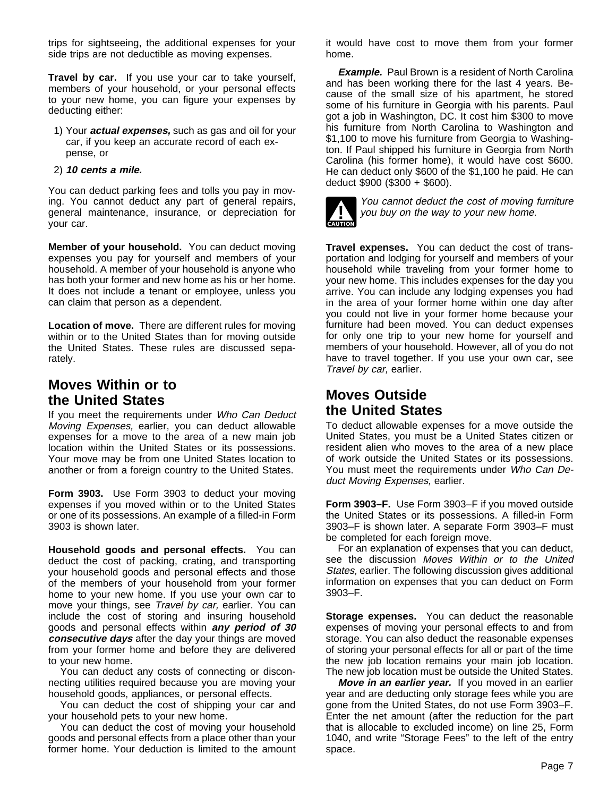trips for sightseeing, the additional expenses for your side trips are not deductible as moving expenses.

**Travel by car.** If you use your car to take yourself, members of your household, or your personal effects to your new home, you can figure your expenses by deducting either:

- 1) Your **actual expenses,** such as gas and oil for your car, if you keep an accurate record of each expense, or
- 2) **10 cents a mile.**

You can deduct parking fees and tolls you pay in moving. You cannot deduct any part of general repairs, general maintenance, insurance, or depreciation for your car.

**Member of your household.** You can deduct moving expenses you pay for yourself and members of your household. A member of your household is anyone who has both your former and new home as his or her home. It does not include a tenant or employee, unless you can claim that person as a dependent.

**Location of move.** There are different rules for moving within or to the United States than for moving outside the United States. These rules are discussed separately.

### **Moves Within or to the United States**

If you meet the requirements under Who Can Deduct Moving Expenses, earlier, you can deduct allowable expenses for a move to the area of a new main job location within the United States or its possessions. Your move may be from one United States location to another or from a foreign country to the United States.

**Form 3903.** Use Form 3903 to deduct your moving expenses if you moved within or to the United States or one of its possessions. An example of a filled-in Form 3903 is shown later.

**Household goods and personal effects.** You can deduct the cost of packing, crating, and transporting your household goods and personal effects and those of the members of your household from your former home to your new home. If you use your own car to move your things, see Travel by car, earlier. You can include the cost of storing and insuring household goods and personal effects within **any period of 30 consecutive days** after the day your things are moved from your former home and before they are delivered to your new home.

You can deduct any costs of connecting or disconnecting utilities required because you are moving your household goods, appliances, or personal effects.

You can deduct the cost of shipping your car and your household pets to your new home.

You can deduct the cost of moving your household goods and personal effects from a place other than your former home. Your deduction is limited to the amount it would have cost to move them from your former home.

**Example.** Paul Brown is a resident of North Carolina and has been working there for the last 4 years. Because of the small size of his apartment, he stored some of his furniture in Georgia with his parents. Paul got a job in Washington, DC. It cost him \$300 to move his furniture from North Carolina to Washington and \$1,100 to move his furniture from Georgia to Washington. If Paul shipped his furniture in Georgia from North Carolina (his former home), it would have cost \$600. He can deduct only \$600 of the \$1,100 he paid. He can deduct \$900 (\$300 + \$600).



**!** You cannot deduct the cost of moving furniture you buy on the way to your new home.

**Travel expenses.** You can deduct the cost of transportation and lodging for yourself and members of your household while traveling from your former home to your new home. This includes expenses for the day you arrive. You can include any lodging expenses you had in the area of your former home within one day after you could not live in your former home because your furniture had been moved. You can deduct expenses for only one trip to your new home for yourself and members of your household. However, all of you do not have to travel together. If you use your own car, see Travel by car, earlier.

### **Moves Outside the United States**

To deduct allowable expenses for a move outside the United States, you must be a United States citizen or resident alien who moves to the area of a new place of work outside the United States or its possessions. You must meet the requirements under Who Can Deduct Moving Expenses, earlier.

**Form 3903–F.** Use Form 3903–F if you moved outside the United States or its possessions. A filled-in Form 3903–F is shown later. A separate Form 3903–F must be completed for each foreign move.

For an explanation of expenses that you can deduct, see the discussion Moves Within or to the United States, earlier. The following discussion gives additional information on expenses that you can deduct on Form 3903–F.

**Storage expenses.** You can deduct the reasonable expenses of moving your personal effects to and from storage. You can also deduct the reasonable expenses of storing your personal effects for all or part of the time the new job location remains your main job location. The new job location must be outside the United States.

**Move in an earlier year.** If you moved in an earlier year and are deducting only storage fees while you are gone from the United States, do not use Form 3903–F. Enter the net amount (after the reduction for the part that is allocable to excluded income) on line 25, Form 1040, and write "Storage Fees" to the left of the entry space.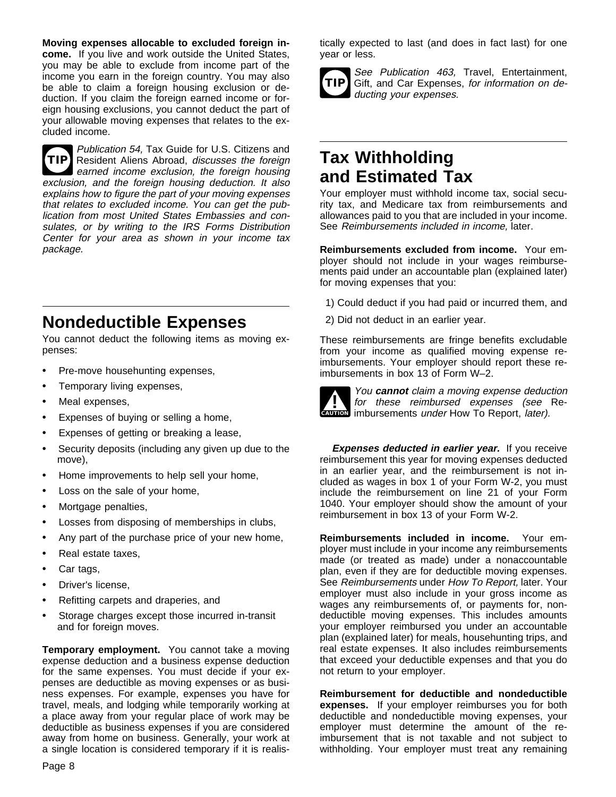**Moving expenses allocable to excluded foreign income.** If you live and work outside the United States, you may be able to exclude from income part of the income you earn in the foreign country. You may also be able to claim a foreign housing exclusion or deduction. If you claim the foreign earned income or foreign housing exclusions, you cannot deduct the part of your allowable moving expenses that relates to the excluded income.

**TIP** Resident Aliens Abroad, discusses the foreign Publication 54, Tax Guide for U.S. Citizens and earned income exclusion, the foreign housing exclusion, and the foreign housing deduction. It also explains how to figure the part of your moving expenses that relates to excluded income. You can get the publication from most United States Embassies and consulates, or by writing to the IRS Forms Distribution Center for your area as shown in your income tax package.

# **Nondeductible Expenses**

You cannot deduct the following items as moving expenses:

- $\ddot{\mathbf{y}}$  Pre-move househunting expenses,
- $\ddot{\mathbf{y}}$  Temporary living expenses,
- $\ddot{\mathbf{y}}$  Meal expenses,
- $\ddot{\mathbf{y}}$  Expenses of buying or selling a home,
- $\ddot{\mathbf{y}}$  Expenses of getting or breaking a lease,
- $\ddot{\mathbf{y}}$  Security deposits (including any given up due to the move),
- $\ddot{\mathbf{y}}$  Home improvements to help sell your home,
- $\ddot{\mathbf{y}}$  Loss on the sale of your home,
- ÿ• Mortgage penalties,
- $\ddot{\mathbf{y}}$  Losses from disposing of memberships in clubs,
- $\ddot{\mathbf{y}}$  Any part of the purchase price of your new home,
- $\ddot{\mathbf{y}}$  Real estate taxes,
- $\ddot{\mathbf{y}}$  Car tags,
- ÿ• Driver's license,
- $\ddot{\mathbf{y}}$  Refitting carpets and draperies, and
- ÿ• Storage charges except those incurred in-transit and for foreign moves.

**Temporary employment.** You cannot take a moving expense deduction and a business expense deduction for the same expenses. You must decide if your expenses are deductible as moving expenses or as business expenses. For example, expenses you have for travel, meals, and lodging while temporarily working at a place away from your regular place of work may be deductible as business expenses if you are considered away from home on business. Generally, your work at a single location is considered temporary if it is realis-

tically expected to last (and does in fact last) for one year or less.

**TIP** Gift, and Car Expenses, for information on de-See Publication 463, Travel, Entertainment, ducting your expenses.

# **Tax Withholding and Estimated Tax**

Your employer must withhold income tax, social security tax, and Medicare tax from reimbursements and allowances paid to you that are included in your income. See Reimbursements included in income, later.

**Reimbursements excluded from income.** Your employer should not include in your wages reimbursements paid under an accountable plan (explained later) for moving expenses that you:

- 1) Could deduct if you had paid or incurred them, and
- 2) Did not deduct in an earlier year.

These reimbursements are fringe benefits excludable from your income as qualified moving expense reimbursements. Your employer should report these reimbursements in box 13 of Form W–2.



for these reimbursed expenses (see<br> **CAUTION** imbursements under How To Report, *later*). You **cannot** claim a moving expense deduction for these reimbursed expenses (see Re-

**Expenses deducted in earlier year.** If you receive reimbursement this year for moving expenses deducted in an earlier year, and the reimbursement is not included as wages in box 1 of your Form W-2, you must include the reimbursement on line 21 of your Form 1040. Your employer should show the amount of your reimbursement in box 13 of your Form W-2.

**Reimbursements included in income.** Your employer must include in your income any reimbursements made (or treated as made) under a nonaccountable plan, even if they are for deductible moving expenses. See Reimbursements under How To Report, later. Your employer must also include in your gross income as wages any reimbursements of, or payments for, nondeductible moving expenses. This includes amounts your employer reimbursed you under an accountable plan (explained later) for meals, househunting trips, and real estate expenses. It also includes reimbursements that exceed your deductible expenses and that you do not return to your employer.

**Reimbursement for deductible and nondeductible expenses.** If your employer reimburses you for both deductible and nondeductible moving expenses, your employer must determine the amount of the reimbursement that is not taxable and not subject to withholding. Your employer must treat any remaining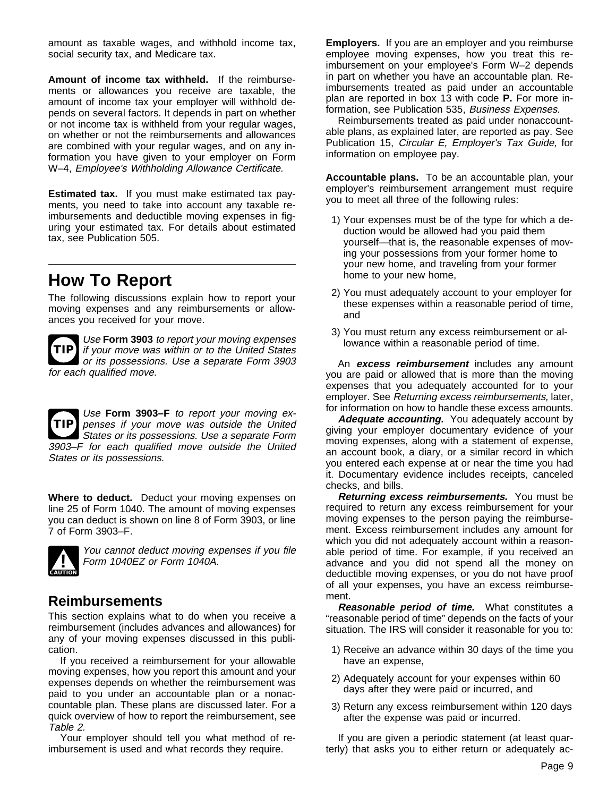amount as taxable wages, and withhold income tax, social security tax, and Medicare tax.

**Amount of income tax withheld.** If the reimbursements or allowances you receive are taxable, the amount of income tax your employer will withhold depends on several factors. It depends in part on whether or not income tax is withheld from your regular wages, on whether or not the reimbursements and allowances are combined with your regular wages, and on any information you have given to your employer on Form W–4, Employee's Withholding Allowance Certificate.

**Estimated tax.** If you must make estimated tax payments, you need to take into account any taxable reimbursements and deductible moving expenses in figuring your estimated tax. For details about estimated tax, see Publication 505.

# **How To Report**

The following discussions explain how to report your moving expenses and any reimbursements or allowances you received for your move.



Use **Form 3903** to report your moving expenses I if your move was within or to the United States or its possessions. Use a separate Form 3903 for each qualified move.

**TIP** Use **Form 3903–F** to report your moving expenses if your move was outside the United States or its possessions. Use a separate Form 3903–F for each qualified move outside the United States or its possessions.

**Where to deduct.** Deduct your moving expenses on line 25 of Form 1040. The amount of moving expenses you can deduct is shown on line 8 of Form 3903, or line 7 of Form 3903–F.



**!** You cannot deduct moving expenses if you file Form 1040EZ or Form 1040A.

### **Reimbursements**

This section explains what to do when you receive a reimbursement (includes advances and allowances) for any of your moving expenses discussed in this publication.

If you received a reimbursement for your allowable moving expenses, how you report this amount and your expenses depends on whether the reimbursement was paid to you under an accountable plan or a nonaccountable plan. These plans are discussed later. For a quick overview of how to report the reimbursement, see Table 2.

Your employer should tell you what method of reimbursement is used and what records they require.

**Employers.** If you are an employer and you reimburse employee moving expenses, how you treat this reimbursement on your employee's Form W–2 depends in part on whether you have an accountable plan. Reimbursements treated as paid under an accountable plan are reported in box 13 with code **P.** For more information, see Publication 535, Business Expenses.

Reimbursements treated as paid under nonaccountable plans, as explained later, are reported as pay. See Publication 15, Circular E, Employer's Tax Guide, for information on employee pay.

**Accountable plans.** To be an accountable plan, your employer's reimbursement arrangement must require you to meet all three of the following rules:

- 1) Your expenses must be of the type for which a deduction would be allowed had you paid them yourself—that is, the reasonable expenses of moving your possessions from your former home to your new home, and traveling from your former home to your new home,
- 2) You must adequately account to your employer for these expenses within a reasonable period of time, and
- 3) You must return any excess reimbursement or allowance within a reasonable period of time.

An **excess reimbursement** includes any amount you are paid or allowed that is more than the moving expenses that you adequately accounted for to your employer. See Returning excess reimbursements, later, for information on how to handle these excess amounts.

**Adequate accounting.** You adequately account by giving your employer documentary evidence of your moving expenses, along with a statement of expense, an account book, a diary, or a similar record in which you entered each expense at or near the time you had it. Documentary evidence includes receipts, canceled checks, and bills.

**Returning excess reimbursements.** You must be required to return any excess reimbursement for your moving expenses to the person paying the reimbursement. Excess reimbursement includes any amount for which you did not adequately account within a reasonable period of time. For example, if you received an advance and you did not spend all the money on deductible moving expenses, or you do not have proof of all your expenses, you have an excess reimbursement.

**Reasonable period of time.** What constitutes a "reasonable period of time" depends on the facts of your situation. The IRS will consider it reasonable for you to:

- 1) Receive an advance within 30 days of the time you have an expense,
- 2) Adequately account for your expenses within 60 days after they were paid or incurred, and
- 3) Return any excess reimbursement within 120 days after the expense was paid or incurred.

If you are given a periodic statement (at least quarterly) that asks you to either return or adequately ac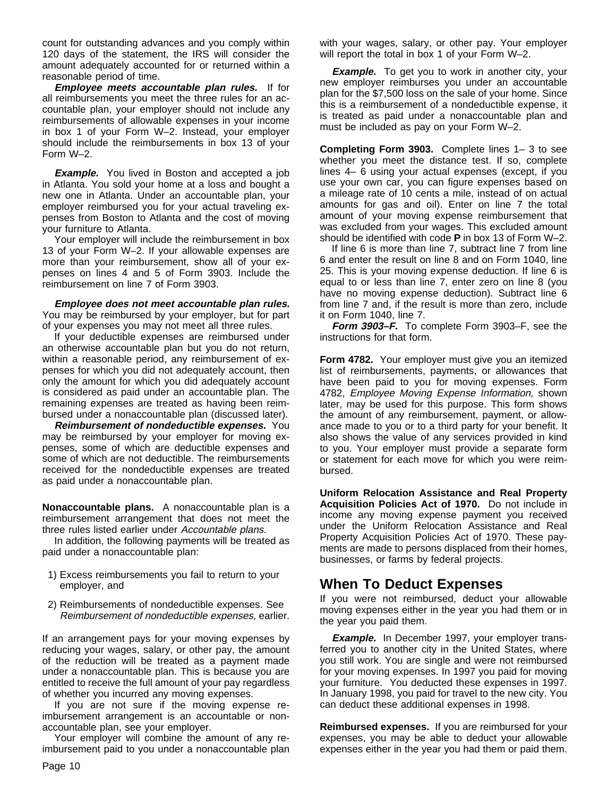count for outstanding advances and you comply within 120 days of the statement, the IRS will consider the amount adequately accounted for or returned within a reasonable period of time.

**Employee meets accountable plan rules.** If for all reimbursements you meet the three rules for an accountable plan, your employer should not include any reimbursements of allowable expenses in your income in box 1 of your Form W–2. Instead, your employer should include the reimbursements in box 13 of your Form W–2.

**Example.** You lived in Boston and accepted a job in Atlanta. You sold your home at a loss and bought a new one in Atlanta. Under an accountable plan, your employer reimbursed you for your actual traveling expenses from Boston to Atlanta and the cost of moving your furniture to Atlanta.

Your employer will include the reimbursement in box 13 of your Form W–2. If your allowable expenses are more than your reimbursement, show all of your expenses on lines 4 and 5 of Form 3903. Include the reimbursement on line 7 of Form 3903.

**Employee does not meet accountable plan rules.** You may be reimbursed by your employer, but for part of your expenses you may not meet all three rules.

If your deductible expenses are reimbursed under an otherwise accountable plan but you do not return, within a reasonable period, any reimbursement of expenses for which you did not adequately account, then only the amount for which you did adequately account is considered as paid under an accountable plan. The remaining expenses are treated as having been reimbursed under a nonaccountable plan (discussed later).

**Reimbursement of nondeductible expenses.** You may be reimbursed by your employer for moving expenses, some of which are deductible expenses and some of which are not deductible. The reimbursements received for the nondeductible expenses are treated as paid under a nonaccountable plan.

**Nonaccountable plans.** A nonaccountable plan is a reimbursement arrangement that does not meet the three rules listed earlier under Accountable plans.

In addition, the following payments will be treated as paid under a nonaccountable plan:

- 1) Excess reimbursements you fail to return to your employer, and
- 2) Reimbursements of nondeductible expenses. See Reimbursement of nondeductible expenses, earlier.

If an arrangement pays for your moving expenses by reducing your wages, salary, or other pay, the amount of the reduction will be treated as a payment made under a nonaccountable plan. This is because you are entitled to receive the full amount of your pay regardless of whether you incurred any moving expenses.

If you are not sure if the moving expense reimbursement arrangement is an accountable or nonaccountable plan, see your employer.

Your employer will combine the amount of any reimbursement paid to you under a nonaccountable plan with your wages, salary, or other pay. Your employer will report the total in box 1 of your Form W–2.

**Example.** To get you to work in another city, your new employer reimburses you under an accountable plan for the \$7,500 loss on the sale of your home. Since this is a reimbursement of a nondeductible expense, it is treated as paid under a nonaccountable plan and must be included as pay on your Form W–2.

**Completing Form 3903.** Complete lines 1– 3 to see whether you meet the distance test. If so, complete lines 4– 6 using your actual expenses (except, if you use your own car, you can figure expenses based on a mileage rate of 10 cents a mile, instead of on actual amounts for gas and oil). Enter on line 7 the total amount of your moving expense reimbursement that was excluded from your wages. This excluded amount should be identified with code **P** in box 13 of Form W–2.

If line 6 is more than line 7, subtract line 7 from line 6 and enter the result on line 8 and on Form 1040, line 25. This is your moving expense deduction. If line 6 is equal to or less than line 7, enter zero on line 8 (you have no moving expense deduction). Subtract line 6 from line 7 and, if the result is more than zero, include it on Form 1040, line 7.

**Form 3903–F.** To complete Form 3903–F, see the instructions for that form.

**Form 4782.** Your employer must give you an itemized list of reimbursements, payments, or allowances that have been paid to you for moving expenses. Form 4782, Employee Moving Expense Information, shown later, may be used for this purpose. This form shows the amount of any reimbursement, payment, or allowance made to you or to a third party for your benefit. It also shows the value of any services provided in kind to you. Your employer must provide a separate form or statement for each move for which you were reimbursed.

**Uniform Relocation Assistance and Real Property Acquisition Policies Act of 1970.** Do not include in income any moving expense payment you received under the Uniform Relocation Assistance and Real Property Acquisition Policies Act of 1970. These payments are made to persons displaced from their homes, businesses, or farms by federal projects.

### **When To Deduct Expenses**

If you were not reimbursed, deduct your allowable moving expenses either in the year you had them or in the year you paid them.

**Example.** In December 1997, your employer transferred you to another city in the United States, where you still work. You are single and were not reimbursed for your moving expenses. In 1997 you paid for moving your furniture. You deducted these expenses in 1997. In January 1998, you paid for travel to the new city. You can deduct these additional expenses in 1998.

**Reimbursed expenses.** If you are reimbursed for your expenses, you may be able to deduct your allowable expenses either in the year you had them or paid them.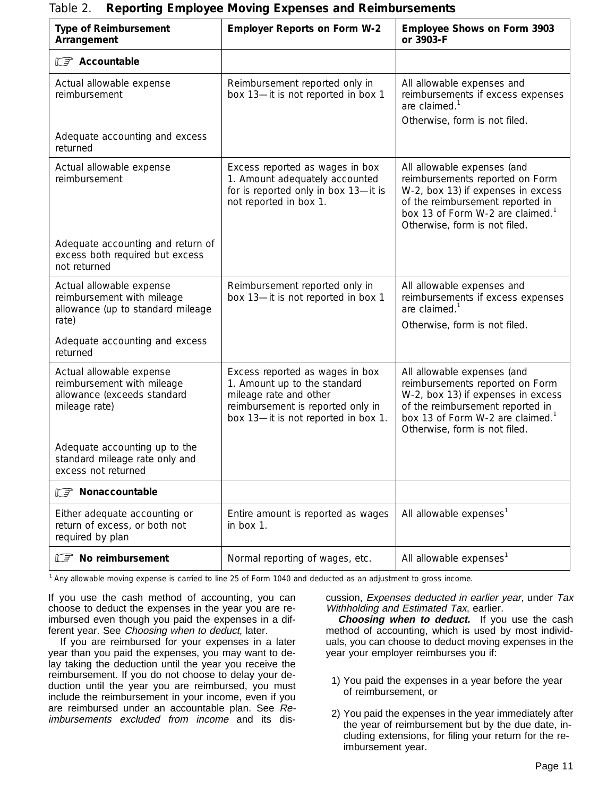|                                                                                                        | reporting Employee moving Expenses an                                                                                                                                 |                                                                                                                                                                                                                           |
|--------------------------------------------------------------------------------------------------------|-----------------------------------------------------------------------------------------------------------------------------------------------------------------------|---------------------------------------------------------------------------------------------------------------------------------------------------------------------------------------------------------------------------|
| <b>Type of Reimbursement</b><br>Arrangement                                                            | <b>Employer Reports on Form W-2</b>                                                                                                                                   | <b>Employee Shows on Form 3903</b><br>or 3903-F                                                                                                                                                                           |
| F Accountable                                                                                          |                                                                                                                                                                       |                                                                                                                                                                                                                           |
| Actual allowable expense<br>reimbursement<br>Adequate accounting and excess                            | Reimbursement reported only in<br>box 13-it is not reported in box 1                                                                                                  | All allowable expenses and<br>reimbursements if excess expenses<br>are claimed. $1$<br>Otherwise, form is not filed.                                                                                                      |
| returned                                                                                               |                                                                                                                                                                       |                                                                                                                                                                                                                           |
| Actual allowable expense<br>reimbursement                                                              | Excess reported as wages in box<br>1. Amount adequately accounted<br>for is reported only in box 13-it is<br>not reported in box 1.                                   | All allowable expenses (and<br>reimbursements reported on Form<br>W-2, box 13) if expenses in excess<br>of the reimbursement reported in<br>box 13 of Form W-2 are claimed. <sup>1</sup><br>Otherwise, form is not filed. |
| Adequate accounting and return of<br>excess both required but excess<br>not returned                   |                                                                                                                                                                       |                                                                                                                                                                                                                           |
| Actual allowable expense<br>reimbursement with mileage<br>allowance (up to standard mileage<br>rate)   | Reimbursement reported only in<br>box 13-it is not reported in box 1                                                                                                  | All allowable expenses and<br>reimbursements if excess expenses<br>are claimed. $1$<br>Otherwise, form is not filed.                                                                                                      |
| Adequate accounting and excess<br>returned                                                             |                                                                                                                                                                       |                                                                                                                                                                                                                           |
| Actual allowable expense<br>reimbursement with mileage<br>allowance (exceeds standard<br>mileage rate) | Excess reported as wages in box<br>1. Amount up to the standard<br>mileage rate and other<br>reimbursement is reported only in<br>box 13-it is not reported in box 1. | All allowable expenses (and<br>reimbursements reported on Form<br>W-2, box 13) if expenses in excess<br>of the reimbursement reported in<br>box 13 of Form W-2 are claimed. <sup>1</sup><br>Otherwise, form is not filed. |
| Adequate accounting up to the<br>standard mileage rate only and<br>excess not returned                 |                                                                                                                                                                       |                                                                                                                                                                                                                           |
| <b>IF</b> Nonaccountable                                                                               |                                                                                                                                                                       |                                                                                                                                                                                                                           |
| Either adequate accounting or<br>return of excess, or both not<br>required by plan                     | Entire amount is reported as wages<br>in box 1.                                                                                                                       | All allowable expenses <sup>1</sup>                                                                                                                                                                                       |
| <b>IF</b> No reimbursement                                                                             | Normal reporting of wages, etc.                                                                                                                                       | All allowable expenses <sup>1</sup>                                                                                                                                                                                       |

#### Table 2. **Reporting Employee Moving Expenses and Reimbursements**

 $1$  Any allowable moving expense is carried to line 25 of Form 1040 and deducted as an adjustment to gross income.

If you use the cash method of accounting, you can choose to deduct the expenses in the year you are reimbursed even though you paid the expenses in a different year. See Choosing when to deduct, later.

If you are reimbursed for your expenses in a later year than you paid the expenses, you may want to delay taking the deduction until the year you receive the reimbursement. If you do not choose to delay your deduction until the year you are reimbursed, you must include the reimbursement in your income, even if you are reimbursed under an accountable plan. See Reimbursements excluded from income and its discussion, Expenses deducted in earlier year, under Tax Withholding and Estimated Tax, earlier.

**Choosing when to deduct.** If you use the cash method of accounting, which is used by most individuals, you can choose to deduct moving expenses in the year your employer reimburses you if:

- 1) You paid the expenses in a year before the year of reimbursement, or
- 2) You paid the expenses in the year immediately after the year of reimbursement but by the due date, including extensions, for filing your return for the reimbursement year.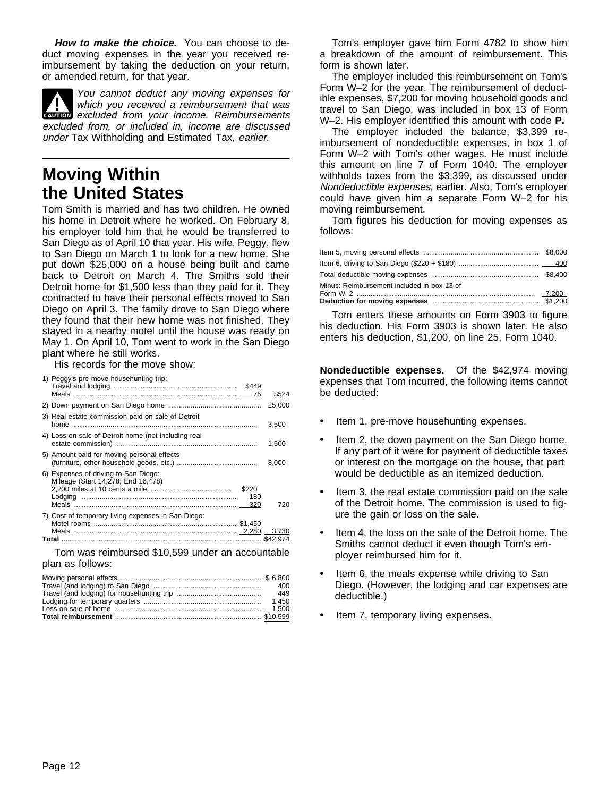**How to make the choice.** You can choose to deduct moving expenses in the year you received reimbursement by taking the deduction on your return, or amended return, for that year.



**CAUTION** excluded from your income. Reimbursements **!** You cannot deduct any moving expenses for<br>which you received a reimbursement that was excluded from, or included in, income are discussed under Tax Withholding and Estimated Tax, earlier.

# **Moving Within the United States**

Tom Smith is married and has two children. He owned his home in Detroit where he worked. On February 8, his employer told him that he would be transferred to San Diego as of April 10 that year. His wife, Peggy, flew to San Diego on March 1 to look for a new home. She put down \$25,000 on a house being built and came back to Detroit on March 4. The Smiths sold their Detroit home for \$1,500 less than they paid for it. They contracted to have their personal effects moved to San Diego on April 3. The family drove to San Diego where they found that their new home was not finished. They stayed in a nearby motel until the house was ready on May 1. On April 10, Tom went to work in the San Diego plant where he still works.

His records for the move show:

| 1) Peggy's pre-move househunting trip:                                     |              | \$524    |
|----------------------------------------------------------------------------|--------------|----------|
|                                                                            |              | 25,000   |
| 3) Real estate commission paid on sale of Detroit                          |              | 3,500    |
| 4) Loss on sale of Detroit home (not including real                        |              | 1,500    |
| 5) Amount paid for moving personal effects                                 |              | 8.000    |
| 6) Expenses of driving to San Diego:<br>Mileage (Start 14,278; End 16,478) | \$220<br>180 | 720      |
| 7) Cost of temporary living expenses in San Diego:                         |              | \$42.974 |

Tom was reimbursed \$10,599 under an accountable plan as follows:

| 400 |
|-----|
| 449 |
|     |
|     |
|     |

Tom's employer gave him Form 4782 to show him a breakdown of the amount of reimbursement. This form is shown later.

The employer included this reimbursement on Tom's Form W–2 for the year. The reimbursement of deductible expenses, \$7,200 for moving household goods and travel to San Diego, was included in box 13 of Form W–2. His employer identified this amount with code **P.**

The employer included the balance, \$3,399 reimbursement of nondeductible expenses, in box 1 of Form W–2 with Tom's other wages. He must include this amount on line 7 of Form 1040. The employer withholds taxes from the \$3,399, as discussed under Nondeductible expenses, earlier. Also, Tom's employer could have given him a separate Form W–2 for his moving reimbursement.

Tom figures his deduction for moving expenses as follows:

| Minus: Reimbursement included in box 13 of |  |
|--------------------------------------------|--|
|                                            |  |

Tom enters these amounts on Form 3903 to figure his deduction. His Form 3903 is shown later. He also enters his deduction, \$1,200, on line 25, Form 1040.

**Nondeductible expenses.** Of the \$42,974 moving expenses that Tom incurred, the following items cannot be deducted:

- $\ddot{\mathbf{y}}$  Item 1, pre-move househunting expenses.
- Item 2, the down payment on the San Diego home. If any part of it were for payment of deductible taxes or interest on the mortgage on the house, that part would be deductible as an itemized deduction.
- $\ddot{\mathbf{y}}$  Item 3, the real estate commission paid on the sale of the Detroit home. The commission is used to figure the gain or loss on the sale.
- $\ddot{\mathbf{y}}$  Item 4, the loss on the sale of the Detroit home. The Smiths cannot deduct it even though Tom's employer reimbursed him for it.
- $\ddot{\mathbf{y}}$  Item 6, the meals expense while driving to San Diego. (However, the lodging and car expenses are deductible.)
- $\ddot{\mathbf{y}}$  Item 7, temporary living expenses.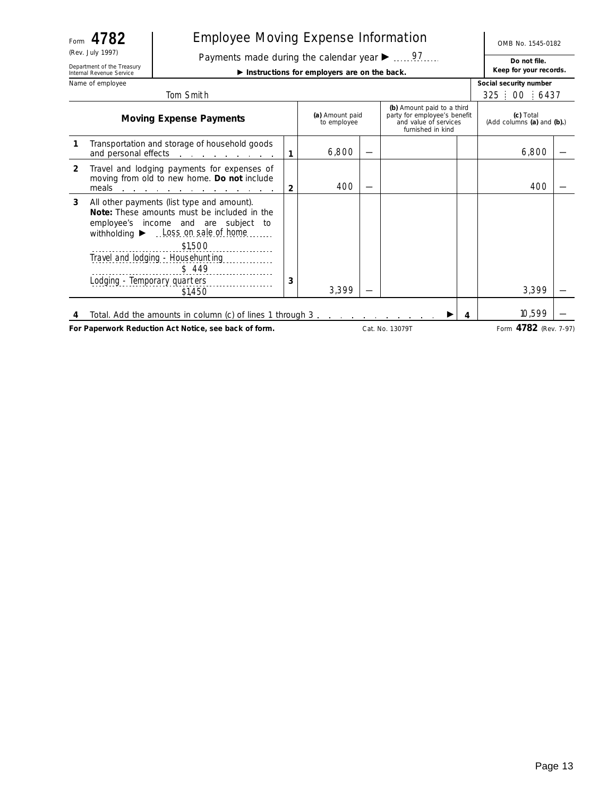| Form $4782$<br>(Rev. July 1997)                        |
|--------------------------------------------------------|
| Department of the Treasury<br>Internal Revenue Service |
| Name of employee                                       |

### Employee Moving Expense Information

OMB No. 1545-0182

(Rev. July 1997)  $\begin{array}{c} \text{(Rev. July 1997)} \\ \text{Payments made during the calendar year} \end{array}$ 

© **Instructions for employers are on the back.**

**Do not file. Keep for** 

| $\blacktriangleright$ Instructions for employers are on the back. |   | <b>NEED IN YOUL LECOLUS.</b>   |  |                                                                                                          |  |                                         |  |
|-------------------------------------------------------------------|---|--------------------------------|--|----------------------------------------------------------------------------------------------------------|--|-----------------------------------------|--|
| Tom Smith                                                         |   |                                |  |                                                                                                          |  | Social security number<br>325 00 6437   |  |
| kpense Payments                                                   |   | (a) Amount paid<br>to employee |  | (b) Amount paid to a third<br>party for employee's benefit<br>and value of services<br>furnished in kind |  | (c) Total<br>(Add columns (a) and (b).) |  |
| storage of household goods                                        | 1 | 6.800                          |  |                                                                                                          |  | 6.800                                   |  |
| nayments for expenses of                                          |   |                                |  |                                                                                                          |  |                                         |  |

|                       | Transportation and storage of household goods<br>and personal effects and personal effects                                                                                                                                                                                  |   | 6.800 |               | 6,800                 |  |
|-----------------------|-----------------------------------------------------------------------------------------------------------------------------------------------------------------------------------------------------------------------------------------------------------------------------|---|-------|---------------|-----------------------|--|
| $\mathbf{2}^{\prime}$ | Travel and lodging payments for expenses of<br>moving from old to new home. Do not include<br>meals<br>the second contract of the second contract of the                                                                                                                    |   | 400   |               | 400                   |  |
| 3                     | All other payments (list type and amount).<br>Note: These amounts must be included in the<br>employee's income and are subject to<br>withholding > Loss on sale of home<br>\$1,500<br>Travel and lodging - Househunting<br>\$449<br>Lodging - Temporary quarters<br>\$1,450 | 3 | 3.399 |               | 3.399                 |  |
|                       | Total. Add the amounts in column (c) of lines 1 through 3.                                                                                                                                                                                                                  |   |       |               | 10,599                |  |
|                       | For Panerwork Peduction Act Notice, see back of form                                                                                                                                                                                                                        |   |       | Cat No 13070T | Eqrm $4782$ (Pey 7.07 |  |

**For Paperwork Reduction Act Notice, see back of form.**

**Moving Expense Payments**

Cat. No. 13079T

Form **4782** (Rev. 7-97)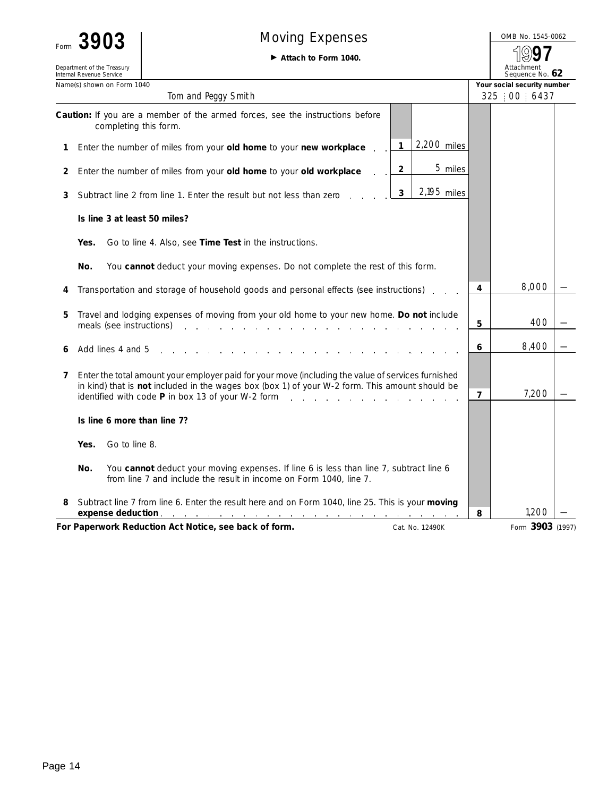|  | <b>Moving Expenses</b> |
|--|------------------------|
|--|------------------------|

© **Attach to Form 1040.**

OMB No. 1545-0062 **97** Шś Attachment Sequence No. **62**

|   | Department of the Treasury<br>Internal Revenue Service                                                                                                                                                                                                                              |   | Attachment<br>Sequence No. 62 |  |
|---|-------------------------------------------------------------------------------------------------------------------------------------------------------------------------------------------------------------------------------------------------------------------------------------|---|-------------------------------|--|
|   | Name(s) shown on Form 1040                                                                                                                                                                                                                                                          |   | Your social security number   |  |
|   | Tom and Peggy Smith                                                                                                                                                                                                                                                                 |   | 325 : 00 : 6437               |  |
|   | Caution: If you are a member of the armed forces, see the instructions before<br>completing this form.                                                                                                                                                                              |   |                               |  |
| 1 | 2,200 miles<br>$\mathbf 1$<br>Enter the number of miles from your old home to your new workplace                                                                                                                                                                                    |   |                               |  |
| 2 | 5 miles<br>2<br>Enter the number of miles from your old home to your old workplace                                                                                                                                                                                                  |   |                               |  |
| 3 | 2,195 miles<br>3<br>Subtract line 2 from line 1. Enter the result but not less than zero                                                                                                                                                                                            |   |                               |  |
|   | Is line 3 at least 50 miles?                                                                                                                                                                                                                                                        |   |                               |  |
|   | Go to line 4. Also, see Time Test in the instructions.<br>Yes.                                                                                                                                                                                                                      |   |                               |  |
|   | You cannot deduct your moving expenses. Do not complete the rest of this form.<br>No.                                                                                                                                                                                               |   |                               |  |
| 4 | Transportation and storage of household goods and personal effects (see instructions).                                                                                                                                                                                              | 4 | 8,000                         |  |
| 5 | Travel and lodging expenses of moving from your old home to your new home. Do not include<br>meals (see instructions)<br>design and contract the contract of the contract of the contract of the contract of the contract of the contract of                                        | 5 | 400                           |  |
|   | Add lines 4 and 5                                                                                                                                                                                                                                                                   | 6 | 8,400                         |  |
| 7 | Enter the total amount your employer paid for your move (including the value of services furnished<br>in kind) that is not included in the wages box (box 1) of your W-2 form. This amount should be                                                                                |   |                               |  |
|   | identified with code P in box 13 of your W-2 form<br>and the contract of the contract of the contract of the contract of the contract of the contract of the contract of the contract of the contract of the contract of the contract of the contract of the contract of the contra | 7 | 7,200                         |  |
|   | Is line 6 more than line 7?                                                                                                                                                                                                                                                         |   |                               |  |
|   | Go to line 8.<br>Yes.                                                                                                                                                                                                                                                               |   |                               |  |
|   | You cannot deduct your moving expenses. If line 6 is less than line 7, subtract line 6<br>No.<br>from line 7 and include the result in income on Form 1040, line 7.                                                                                                                 |   |                               |  |
| 8 | Subtract line 7 from line 6. Enter the result here and on Form 1040, line 25. This is your moving<br>expense deduction.<br>the contract of the contract of the contract of                                                                                                          | 8 | 1,200                         |  |
|   | For Paperwork Reduction Act Notice, see back of form.<br>Cat. No. 12490K                                                                                                                                                                                                            |   | Form 3903 (1997)              |  |

Form 390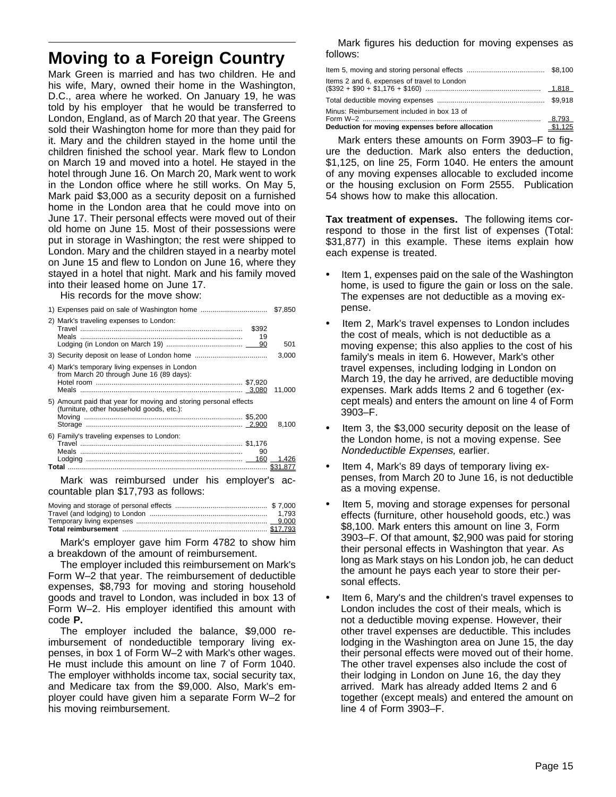# **Moving to a Foreign Country**

Mark Green is married and has two children. He and his wife, Mary, owned their home in the Washington, D.C., area where he worked. On January 19, he was told by his employer that he would be transferred to London, England, as of March 20 that year. The Greens sold their Washington home for more than they paid for it. Mary and the children stayed in the home until the children finished the school year. Mark flew to London on March 19 and moved into a hotel. He stayed in the hotel through June 16. On March 20, Mark went to work in the London office where he still works. On May 5, Mark paid \$3,000 as a security deposit on a furnished home in the London area that he could move into on June 17. Their personal effects were moved out of their old home on June 15. Most of their possessions were put in storage in Washington; the rest were shipped to London. Mary and the children stayed in a nearby motel on June 15 and flew to London on June 16, where they stayed in a hotel that night. Mark and his family moved into their leased home on June 17.

His records for the move show:

|                                                                                                               |             | \$7.850  |
|---------------------------------------------------------------------------------------------------------------|-------------|----------|
| 2) Mark's traveling expenses to London:                                                                       | \$392<br>19 | 501      |
|                                                                                                               |             | 3.000    |
| 4) Mark's temporary living expenses in London<br>from March 20 through June 16 (89 days):                     |             | 11.000   |
| 5) Amount paid that year for moving and storing personal effects<br>(furniture, other household goods, etc.): |             | 8.100    |
| 6) Family's traveling expenses to London:                                                                     | 90          | 1.426    |
|                                                                                                               |             | \$31.877 |

Mark was reimbursed under his employer's accountable plan \$17,793 as follows:

Mark's employer gave him Form 4782 to show him a breakdown of the amount of reimbursement.

The employer included this reimbursement on Mark's Form W–2 that year. The reimbursement of deductible expenses, \$8,793 for moving and storing household goods and travel to London, was included in box 13 of Form W–2. His employer identified this amount with code **P.**

The employer included the balance, \$9,000 reimbursement of nondeductible temporary living expenses, in box 1 of Form W–2 with Mark's other wages. He must include this amount on line 7 of Form 1040. The employer withholds income tax, social security tax, and Medicare tax from the \$9,000. Also, Mark's employer could have given him a separate Form W–2 for his moving reimbursement.

Mark figures his deduction for moving expenses as follows:

| Items 2 and 6, expenses of travel to London     |         |
|-------------------------------------------------|---------|
|                                                 |         |
| Minus: Reimbursement included in box 13 of      |         |
| Deduction for moving expenses before allocation | \$1.125 |

Mark enters these amounts on Form 3903–F to figure the deduction. Mark also enters the deduction, \$1,125, on line 25, Form 1040. He enters the amount of any moving expenses allocable to excluded income or the housing exclusion on Form 2555. Publication 54 shows how to make this allocation.

**Tax treatment of expenses.** The following items correspond to those in the first list of expenses (Total: \$31,877) in this example. These items explain how each expense is treated.

- $\ddot{\mathbf{y}}$  Item 1, expenses paid on the sale of the Washington home, is used to figure the gain or loss on the sale. The expenses are not deductible as a moving expense.
- $\ddot{\mathbf{v}}$  Item 2, Mark's travel expenses to London includes the cost of meals, which is not deductible as a moving expense; this also applies to the cost of his family's meals in item 6. However, Mark's other travel expenses, including lodging in London on March 19, the day he arrived, are deductible moving expenses. Mark adds Items 2 and 6 together (except meals) and enters the amount on line 4 of Form 3903–F.
- $\ddot{\mathbf{y}}$  Item 3, the \$3,000 security deposit on the lease of the London home, is not a moving expense. See Nondeductible Expenses, earlier.
- Item 4, Mark's 89 days of temporary living expenses, from March 20 to June 16, is not deductible as a moving expense.
- $\ddot{\mathbf{y}}$  Item 5, moving and storage expenses for personal effects (furniture, other household goods, etc.) was \$8,100. Mark enters this amount on line 3, Form 3903–F. Of that amount, \$2,900 was paid for storing their personal effects in Washington that year. As long as Mark stays on his London job, he can deduct the amount he pays each year to store their personal effects.
- $\ddot{\mathbf{y}}$  Item 6, Mary's and the children's travel expenses to London includes the cost of their meals, which is not a deductible moving expense. However, their other travel expenses are deductible. This includes lodging in the Washington area on June 15, the day their personal effects were moved out of their home. The other travel expenses also include the cost of their lodging in London on June 16, the day they arrived. Mark has already added Items 2 and 6 together (except meals) and entered the amount on line 4 of Form 3903–F.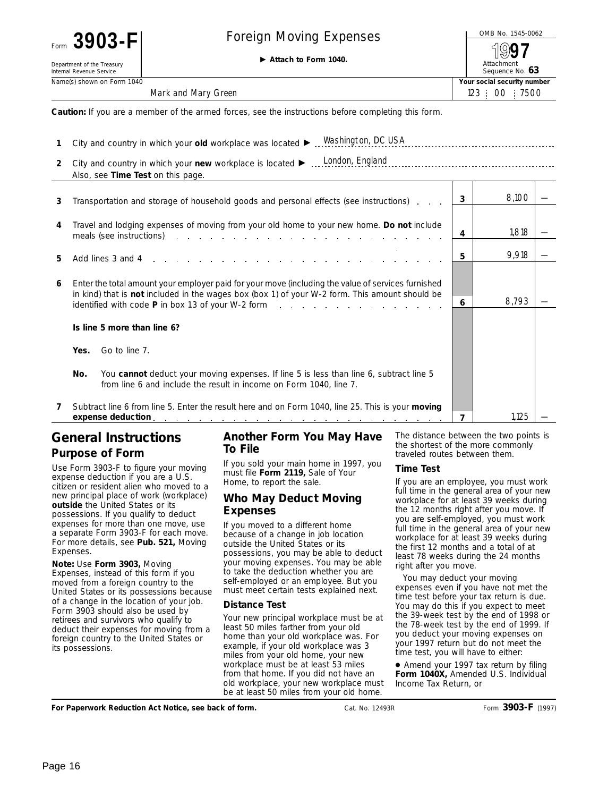| Page 16 |  |
|---------|--|

# Form 3903-F Foreign Moving Expenses Form **3903-F**

© **Attach to Form 1040.**

Attachment Sequence No. **63** Name(s) shown on Form 1040 **Your social security number Your social security number 97**

**Caution:** *If you are a member of the armed forces, see the instructions before completing this form.*

| 1              | Washington, DC USA<br>City and country in which your old workplace was located ▶                                                                                                                                                                                                                                                                                                      |    |       |  |  |  |  |
|----------------|---------------------------------------------------------------------------------------------------------------------------------------------------------------------------------------------------------------------------------------------------------------------------------------------------------------------------------------------------------------------------------------|----|-------|--|--|--|--|
| $\overline{2}$ | London, England<br>City and country in which your new workplace is located $\blacktriangleright$<br>Also, see Time Test on this page.                                                                                                                                                                                                                                                 |    |       |  |  |  |  |
| 3              | Transportation and storage of household goods and personal effects (see instructions)                                                                                                                                                                                                                                                                                                 | 3  | 8,100 |  |  |  |  |
| 4              | Travel and lodging expenses of moving from your old home to your new home. Do not include<br>meals (see instructions)                                                                                                                                                                                                                                                                 | 4  | 1,818 |  |  |  |  |
| 5.             | a de la carte de la carte de la carte de la carte de la carte<br>Add lines 3 and 4                                                                                                                                                                                                                                                                                                    | 5. | 9,918 |  |  |  |  |
| 6              | Enter the total amount your employer paid for your move (including the value of services furnished<br>in kind) that is <b>not</b> included in the wages box (box 1) of your W-2 form. This amount should be<br>identified with code $P$ in box 13 of your W-2 form<br>and the state of the state of the state of the state of the state of the state of the state of the state of the | 6  | 8,793 |  |  |  |  |
|                | Is line 5 more than line 6?                                                                                                                                                                                                                                                                                                                                                           |    |       |  |  |  |  |
|                | Go to line 7.<br>Yes.                                                                                                                                                                                                                                                                                                                                                                 |    |       |  |  |  |  |
|                | You cannot deduct your moving expenses. If line 5 is less than line 6, subtract line 5<br>No.<br>from line 6 and include the result in income on Form 1040, line 7.                                                                                                                                                                                                                   |    |       |  |  |  |  |
|                | Subtract line 6 from line 5. Enter the result here and on Form 1040, line 25. This is your moving                                                                                                                                                                                                                                                                                     | 7  | 1,125 |  |  |  |  |

### **Purpose of Form General Instructions**

Use Form 3903-F to figure your moving expense deduction if you are a U.S. citizen or resident alien who moved to a new principal place of work (workplace) **outside** the United States or its possessions. If you qualify to deduct expenses for more than one move, use a separate Form 3903-F for each move. For more details, see **Pub. 521,** Moving Expenses.

**Note:** *Use Form 3903, Moving Expenses, instead of this form if you moved from a foreign country to the United States or its possessions because of a change in the location of your job. Form 3903 should also be used by retirees and survivors who qualify to deduct their expenses for moving from a foreign country to the United States or its possessions.*

**For Paperwork Reduction Act Notice, see back of form.**

#### **Another Form You May Have To File**

If you sold your main home in 1997, you must file **Form 2119,** Sale of Your Home, to report the sale.

#### **Who May Deduct Moving Expenses**

If you moved to a different home because of a change in job location outside the United States or its possessions, you may be able to deduct your moving expenses. You may be able to take the deduction whether you are self-employed or an employee. But you must meet certain tests explained next.

#### **Distance Test**

Your new principal workplace must be at least 50 miles farther from your old home than your old workplace was. For example, if your old workplace was 3 miles from your old home, your new workplace must be at least 53 miles from that home. If you did not have an old workplace, your new workplace must be at least 50 miles from your old home.

The distance between the two points is the shortest of the more commonly traveled routes between them.

#### **Time Test**

If you are an employee, you must work full time in the general area of your new workplace for at least 39 weeks during the 12 months right after you move. If you are self-employed, you must work full time in the general area of your new workplace for at least 39 weeks during the first 12 months and a total of at least 78 weeks during the 24 months right after you move.

You may deduct your moving expenses even if you have not met the time test before your tax return is due. You may do this if you expect to meet the 39-week test by the end of 1998 or the 78-week test by the end of 1999. If you deduct your moving expenses on your 1997 return but do not meet the time test, you will have to either:

● Amend your 1997 tax return by filing **Form 1040X,** Amended U.S. Individual Income Tax Return, or

| Department of the Treasury |
|----------------------------|
| Internal Revenue Service   |

iervice

Mark and Mary Green 123 | 00 | 7500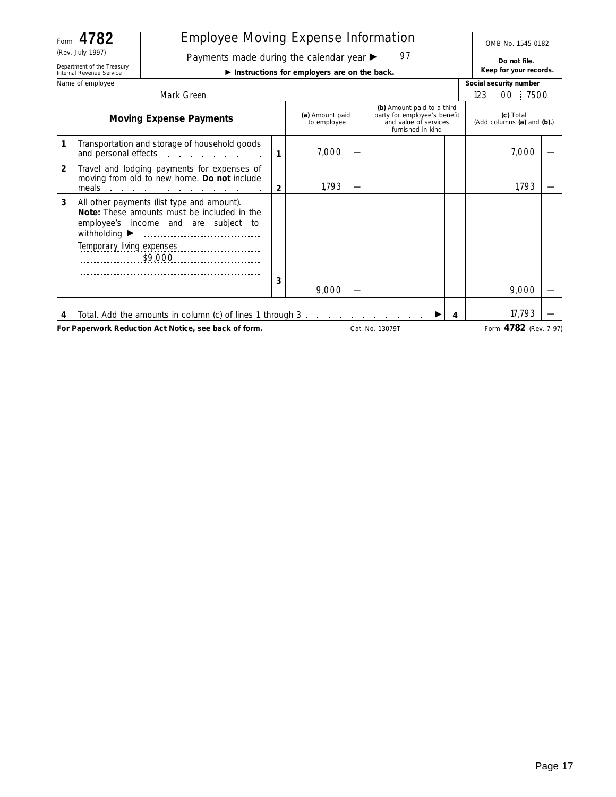| <b>Employee Moving Expense Information</b><br>4782<br>Form                                                                                                                                   |                  |                                                                                                                                                                           |                                |       | OMB No. 1545-0182                                                                                        |  |                                         |                                       |  |
|----------------------------------------------------------------------------------------------------------------------------------------------------------------------------------------------|------------------|---------------------------------------------------------------------------------------------------------------------------------------------------------------------------|--------------------------------|-------|----------------------------------------------------------------------------------------------------------|--|-----------------------------------------|---------------------------------------|--|
| (Rev. July 1997)<br>Payments made during the calendar year $\blacktriangleright$ ??<br>Department of the Treasury<br>Instructions for employers are on the back.<br>Internal Revenue Service |                  |                                                                                                                                                                           |                                |       |                                                                                                          |  | Do not file.<br>Keep for your records.  |                                       |  |
|                                                                                                                                                                                              | Name of employee | Mark Green                                                                                                                                                                |                                |       |                                                                                                          |  |                                         | Social security number<br>123:00:7500 |  |
| <b>Moving Expense Payments</b>                                                                                                                                                               |                  |                                                                                                                                                                           | (a) Amount paid<br>to employee |       | (b) Amount paid to a third<br>party for employee's benefit<br>and value of services<br>furnished in kind |  | (c) Total<br>(Add columns (a) and (b).) |                                       |  |
| 1                                                                                                                                                                                            |                  | Transportation and storage of household goods                                                                                                                             | 1                              | 7,000 |                                                                                                          |  |                                         | 7,000                                 |  |
| $\overline{2}$                                                                                                                                                                               |                  | Travel and lodging payments for expenses of<br>moving from old to new home. Do not include                                                                                | $\overline{2}$                 | 1,793 |                                                                                                          |  |                                         | 1,793                                 |  |
| 3                                                                                                                                                                                            |                  | All other payments (list type and amount).<br>Note: These amounts must be included in the<br>employee's income and are subject to<br>Temporary living expenses<br>\$9,000 | 3                              |       |                                                                                                          |  |                                         |                                       |  |
|                                                                                                                                                                                              |                  |                                                                                                                                                                           |                                | 9.000 |                                                                                                          |  |                                         | 9,000                                 |  |
|                                                                                                                                                                                              |                  |                                                                                                                                                                           |                                |       |                                                                                                          |  | 4                                       | 17,793                                |  |

**For Paperwork Reduction Act Notice, see back of form.**

Cat. No. 13079T

Form **4782** (Rev. 7-97)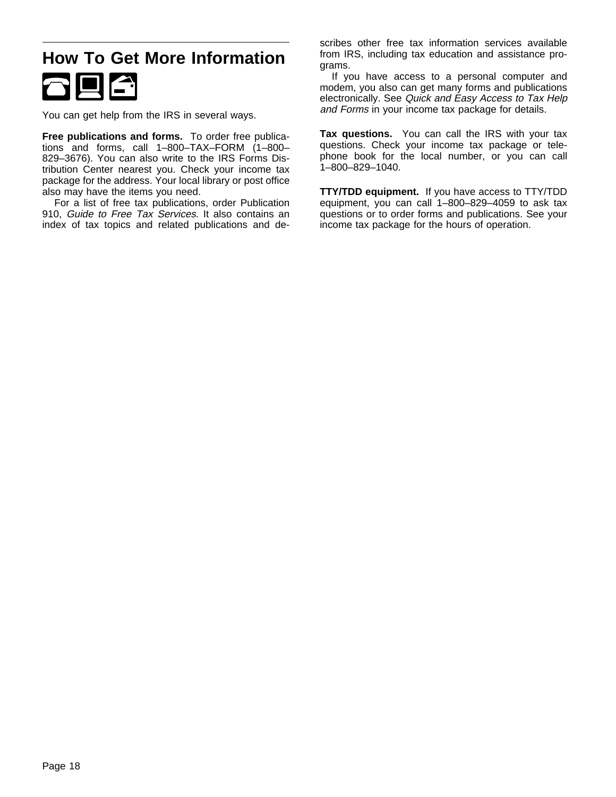# **How To Get More Information**



You can get help from the IRS in several ways.

**Free publications and forms.** To order free publications and forms, call 1–800–TAX–FORM (1–800– 829–3676). You can also write to the IRS Forms Distribution Center nearest you. Check your income tax package for the address. Your local library or post office also may have the items you need.

For a list of free tax publications, order Publication 910, Guide to Free Tax Services. It also contains an index of tax topics and related publications and describes other free tax information services available from IRS, including tax education and assistance programs.

If you have access to a personal computer and modem, you also can get many forms and publications electronically. See Quick and Easy Access to Tax Help and Forms in your income tax package for details.

**Tax questions.** You can call the IRS with your tax questions. Check your income tax package or telephone book for the local number, or you can call 1–800–829–1040.

**TTY/TDD equipment.** If you have access to TTY/TDD equipment, you can call 1–800–829–4059 to ask tax questions or to order forms and publications. See your income tax package for the hours of operation.